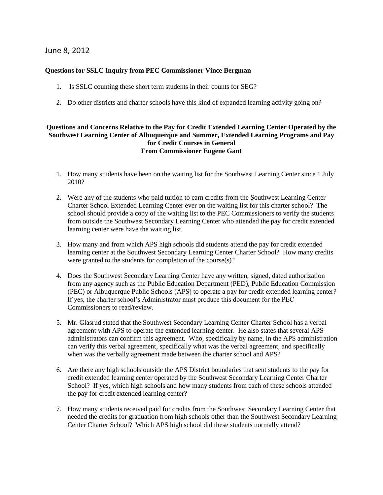# June 8, 2012

#### **Questions for SSLC Inquiry from PEC Commissioner Vince Bergman**

- 1. Is SSLC counting these short term students in their counts for SEG?
- 2. Do other districts and charter schools have this kind of expanded learning activity going on?

## **Questions and Concerns Relative to the Pay for Credit Extended Learning Center Operated by the Southwest Learning Center of Albuquerque and Summer, Extended Learning Programs and Pay for Credit Courses in General From Commissioner Eugene Gant**

- 1. How many students have been on the waiting list for the Southwest Learning Center since 1 July 2010?
- 2. Were any of the students who paid tuition to earn credits from the Southwest Learning Center Charter School Extended Learning Center ever on the waiting list for this charter school? The school should provide a copy of the waiting list to the PEC Commissioners to verify the students from outside the Southwest Secondary Learning Center who attended the pay for credit extended learning center were have the waiting list.
- 3. How many and from which APS high schools did students attend the pay for credit extended learning center at the Southwest Secondary Learning Center Charter School? How many credits were granted to the students for completion of the course(s)?
- 4. Does the Southwest Secondary Learning Center have any written, signed, dated authorization from any agency such as the Public Education Department (PED), Public Education Commission (PEC) or Albuquerque Public Schools (APS) to operate a pay for credit extended learning center? If yes, the charter school's Administrator must produce this document for the PEC Commissioners to read/review.
- 5. Mr. Glasrud stated that the Southwest Secondary Learning Center Charter School has a verbal agreement with APS to operate the extended learning center. He also states that several APS administrators can confirm this agreement. Who, specifically by name, in the APS administration can verify this verbal agreement, specifically what was the verbal agreement, and specifically when was the verbally agreement made between the charter school and APS?
- 6. Are there any high schools outside the APS District boundaries that sent students to the pay for credit extended learning center operated by the Southwest Secondary Learning Center Charter School? If yes, which high schools and how many students from each of these schools attended the pay for credit extended learning center?
- 7. How many students received paid for credits from the Southwest Secondary Learning Center that needed the credits for graduation from high schools other than the Southwest Secondary Learning Center Charter School? Which APS high school did these students normally attend?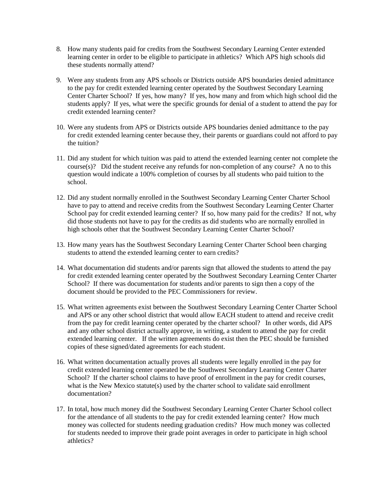- 8. How many students paid for credits from the Southwest Secondary Learning Center extended learning center in order to be eligible to participate in athletics? Which APS high schools did these students normally attend?
- 9. Were any students from any APS schools or Districts outside APS boundaries denied admittance to the pay for credit extended learning center operated by the Southwest Secondary Learning Center Charter School? If yes, how many? If yes, how many and from which high school did the students apply? If yes, what were the specific grounds for denial of a student to attend the pay for credit extended learning center?
- 10. Were any students from APS or Districts outside APS boundaries denied admittance to the pay for credit extended learning center because they, their parents or guardians could not afford to pay the tuition?
- 11. Did any student for which tuition was paid to attend the extended learning center not complete the course(s)? Did the student receive any refunds for non-completion of any course? A no to this question would indicate a 100% completion of courses by all students who paid tuition to the school.
- 12. Did any student normally enrolled in the Southwest Secondary Learning Center Charter School have to pay to attend and receive credits from the Southwest Secondary Learning Center Charter School pay for credit extended learning center? If so, how many paid for the credits? If not, why did those students not have to pay for the credits as did students who are normally enrolled in high schools other that the Southwest Secondary Learning Center Charter School?
- 13. How many years has the Southwest Secondary Learning Center Charter School been charging students to attend the extended learning center to earn credits?
- 14. What documentation did students and/or parents sign that allowed the students to attend the pay for credit extended learning center operated by the Southwest Secondary Learning Center Charter School? If there was documentation for students and/or parents to sign then a copy of the document should be provided to the PEC Commissioners for review.
- 15. What written agreements exist between the Southwest Secondary Learning Center Charter School and APS or any other school district that would allow EACH student to attend and receive credit from the pay for credit learning center operated by the charter school? In other words, did APS and any other school district actually approve, in writing, a student to attend the pay for credit extended learning center. If the written agreements do exist then the PEC should be furnished copies of these signed/dated agreements for each student.
- 16. What written documentation actually proves all students were legally enrolled in the pay for credit extended learning center operated be the Southwest Secondary Learning Center Charter School? If the charter school claims to have proof of enrollment in the pay for credit courses, what is the New Mexico statute(s) used by the charter school to validate said enrollment documentation?
- 17. In total, how much money did the Southwest Secondary Learning Center Charter School collect for the attendance of all students to the pay for credit extended learning center? How much money was collected for students needing graduation credits? How much money was collected for students needed to improve their grade point averages in order to participate in high school athletics?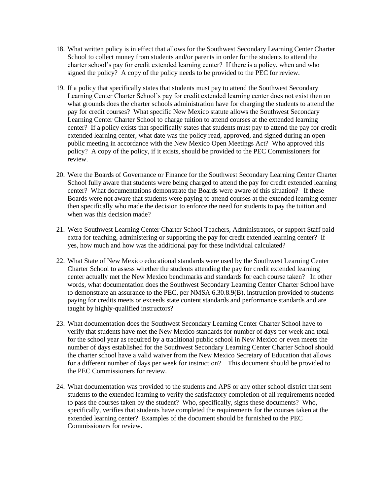- 18. What written policy is in effect that allows for the Southwest Secondary Learning Center Charter School to collect money from students and/or parents in order for the students to attend the charter school's pay for credit extended learning center? If there is a policy, when and who signed the policy? A copy of the policy needs to be provided to the PEC for review.
- 19. If a policy that specifically states that students must pay to attend the Southwest Secondary Learning Center Charter School's pay for credit extended learning center does not exist then on what grounds does the charter schools administration have for charging the students to attend the pay for credit courses? What specific New Mexico statute allows the Southwest Secondary Learning Center Charter School to charge tuition to attend courses at the extended learning center? If a policy exists that specifically states that students must pay to attend the pay for credit extended learning center, what date was the policy read, approved, and signed during an open public meeting in accordance with the New Mexico Open Meetings Act? Who approved this policy? A copy of the policy, if it exists, should be provided to the PEC Commissioners for review.
- 20. Were the Boards of Governance or Finance for the Southwest Secondary Learning Center Charter School fully aware that students were being charged to attend the pay for credit extended learning center? What documentations demonstrate the Boards were aware of this situation? If these Boards were not aware that students were paying to attend courses at the extended learning center then specifically who made the decision to enforce the need for students to pay the tuition and when was this decision made?
- 21. Were Southwest Learning Center Charter School Teachers, Administrators, or support Staff paid extra for teaching, administering or supporting the pay for credit extended learning center? If yes, how much and how was the additional pay for these individual calculated?
- 22. What State of New Mexico educational standards were used by the Southwest Learning Center Charter School to assess whether the students attending the pay for credit extended learning center actually met the New Mexico benchmarks and standards for each course taken? In other words, what documentation does the Southwest Secondary Learning Center Charter School have to demonstrate an assurance to the PEC, per NMSA 6.30.8.9(B), instruction provided to students paying for credits meets or exceeds state content standards and performance standards and are taught by highly-qualified instructors?
- 23. What documentation does the Southwest Secondary Learning Center Charter School have to verify that students have met the New Mexico standards for number of days per week and total for the school year as required by a traditional public school in New Mexico or even meets the number of days established for the Southwest Secondary Learning Center Charter School should the charter school have a valid waiver from the New Mexico Secretary of Education that allows for a different number of days per week for instruction? This document should be provided to the PEC Commissioners for review.
- 24. What documentation was provided to the students and APS or any other school district that sent students to the extended learning to verify the satisfactory completion of all requirements needed to pass the courses taken by the student? Who, specifically, signs these documents? Who, specifically, verifies that students have completed the requirements for the courses taken at the extended learning center? Examples of the document should be furnished to the PEC Commissioners for review.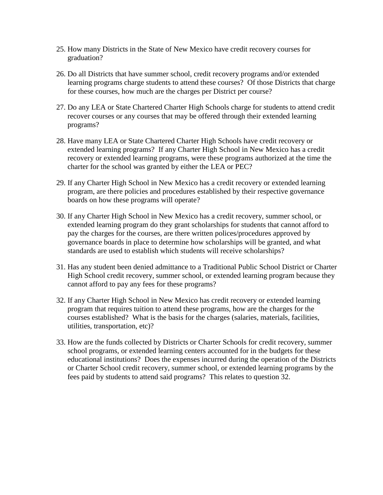- 25. How many Districts in the State of New Mexico have credit recovery courses for graduation?
- 26. Do all Districts that have summer school, credit recovery programs and/or extended learning programs charge students to attend these courses? Of those Districts that charge for these courses, how much are the charges per District per course?
- 27. Do any LEA or State Chartered Charter High Schools charge for students to attend credit recover courses or any courses that may be offered through their extended learning programs?
- 28. Have many LEA or State Chartered Charter High Schools have credit recovery or extended learning programs? If any Charter High School in New Mexico has a credit recovery or extended learning programs, were these programs authorized at the time the charter for the school was granted by either the LEA or PEC?
- 29. If any Charter High School in New Mexico has a credit recovery or extended learning program, are there policies and procedures established by their respective governance boards on how these programs will operate?
- 30. If any Charter High School in New Mexico has a credit recovery, summer school, or extended learning program do they grant scholarships for students that cannot afford to pay the charges for the courses, are there written polices/procedures approved by governance boards in place to determine how scholarships will be granted, and what standards are used to establish which students will receive scholarships?
- 31. Has any student been denied admittance to a Traditional Public School District or Charter High School credit recovery, summer school, or extended learning program because they cannot afford to pay any fees for these programs?
- 32. If any Charter High School in New Mexico has credit recovery or extended learning program that requires tuition to attend these programs, how are the charges for the courses established? What is the basis for the charges (salaries, materials, facilities, utilities, transportation, etc)?
- 33. How are the funds collected by Districts or Charter Schools for credit recovery, summer school programs, or extended learning centers accounted for in the budgets for these educational institutions? Does the expenses incurred during the operation of the Districts or Charter School credit recovery, summer school, or extended learning programs by the fees paid by students to attend said programs? This relates to question 32.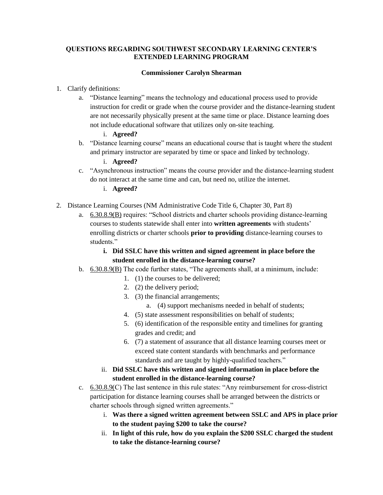## **QUESTIONS REGARDING SOUTHWEST SECONDARY LEARNING CENTER'S EXTENDED LEARNING PROGRAM**

## **Commissioner Carolyn Shearman**

- 1. Clarify definitions:
	- a. "Distance learning" means the technology and educational process used to provide instruction for credit or grade when the course provider and the distance-learning student are not necessarily physically present at the same time or place. Distance learning does not include educational software that utilizes only on-site teaching.
		- i. **Agreed?**
	- b. "Distance learning course" means an educational course that is taught where the student and primary instructor are separated by time or space and linked by technology.
		- i. **Agreed?**
	- c. "Asynchronous instruction" means the course provider and the distance-learning student do not interact at the same time and can, but need no, utilize the internet.
		- i. **Agreed?**
- 2. Distance Learning Courses (NM Administrative Code Title 6, Chapter 30, Part 8)
	- a. 6.30.8.9(B) requires: "School districts and charter schools providing distance-learning courses to students statewide shall enter into **written agreements** with students' enrolling districts or charter schools **prior to providing** distance-learning courses to students."
		- **i. Did SSLC have this written and signed agreement in place before the student enrolled in the distance-learning course?**
	- b. 6.30.8.9(B) The code further states, "The agreements shall, at a minimum, include:
		- 1. (1) the courses to be delivered;
		- 2. (2) the delivery period;
		- 3. (3) the financial arrangements;
			- a. (4) support mechanisms needed in behalf of students;
		- 4. (5) state assessment responsibilities on behalf of students;
		- 5. (6) identification of the responsible entity and timelines for granting grades and credit; and
		- 6. (7) a statement of assurance that all distance learning courses meet or exceed state content standards with benchmarks and performance standards and are taught by highly-qualified teachers."
		- ii. **Did SSLC have this written and signed information in place before the student enrolled in the distance-learning course?**
	- c. 6.30.8.9(C) The last sentence in this rule states: "Any reimbursement for cross-district participation for distance learning courses shall be arranged between the districts or charter schools through signed written agreements."
		- i. **Was there a signed written agreement between SSLC and APS in place prior to the student paying \$200 to take the course?**
		- ii. **In light of this rule, how do you explain the \$200 SSLC charged the student to take the distance-learning course?**